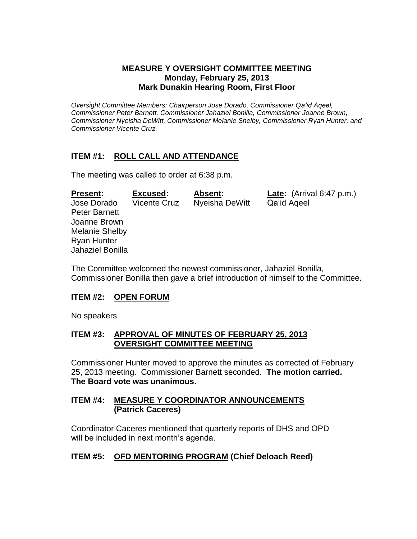#### **MEASURE Y OVERSIGHT COMMITTEE MEETING Monday, February 25, 2013 Mark Dunakin Hearing Room, First Floor**

*Oversight Committee Members: Chairperson Jose Dorado, Commissioner Qa'id Aqeel, Commissioner Peter Barnett, Commissioner Jahaziel Bonilla, Commissioner Joanne Brown, Commissioner Nyeisha DeWitt, Commissioner Melanie Shelby, Commissioner Ryan Hunter, and Commissioner Vicente Cruz.*

# **ITEM #1: ROLL CALL AND ATTENDANCE**

The meeting was called to order at 6:38 p.m.

| <b>Present:</b>       | Excused:            | Absent:        | <b>Late:</b> $(Arrival 6:47 p.m.)$ |
|-----------------------|---------------------|----------------|------------------------------------|
| Jose Dorado           | <b>Vicente Cruz</b> | Nyeisha DeWitt | Qa'id Ageel                        |
| <b>Peter Barnett</b>  |                     |                |                                    |
| Joanne Brown          |                     |                |                                    |
| <b>Melanie Shelby</b> |                     |                |                                    |
| <b>Ryan Hunter</b>    |                     |                |                                    |
| Jahaziel Bonilla      |                     |                |                                    |

The Committee welcomed the newest commissioner, Jahaziel Bonilla, Commissioner Bonilla then gave a brief introduction of himself to the Committee.

#### **ITEM #2: OPEN FORUM**

No speakers

#### **ITEM #3: APPROVAL OF MINUTES OF FEBRUARY 25, 2013 OVERSIGHT COMMITTEE MEETING**

Commissioner Hunter moved to approve the minutes as corrected of February 25, 2013 meeting. Commissioner Barnett seconded. **The motion carried. The Board vote was unanimous.**

#### **ITEM #4: MEASURE Y COORDINATOR ANNOUNCEMENTS (Patrick Caceres)**

Coordinator Caceres mentioned that quarterly reports of DHS and OPD will be included in next month's agenda.

# **ITEM #5: OFD MENTORING PROGRAM (Chief Deloach Reed)**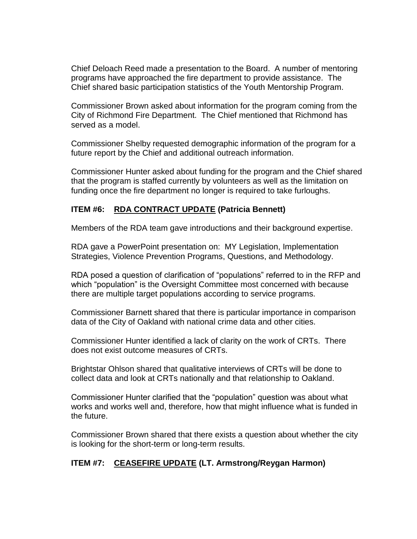Chief Deloach Reed made a presentation to the Board. A number of mentoring programs have approached the fire department to provide assistance. The Chief shared basic participation statistics of the Youth Mentorship Program.

Commissioner Brown asked about information for the program coming from the City of Richmond Fire Department. The Chief mentioned that Richmond has served as a model.

Commissioner Shelby requested demographic information of the program for a future report by the Chief and additional outreach information.

Commissioner Hunter asked about funding for the program and the Chief shared that the program is staffed currently by volunteers as well as the limitation on funding once the fire department no longer is required to take furloughs.

# **ITEM #6: RDA CONTRACT UPDATE (Patricia Bennett)**

Members of the RDA team gave introductions and their background expertise.

RDA gave a PowerPoint presentation on: MY Legislation, Implementation Strategies, Violence Prevention Programs, Questions, and Methodology.

RDA posed a question of clarification of "populations" referred to in the RFP and which "population" is the Oversight Committee most concerned with because there are multiple target populations according to service programs.

Commissioner Barnett shared that there is particular importance in comparison data of the City of Oakland with national crime data and other cities.

Commissioner Hunter identified a lack of clarity on the work of CRTs. There does not exist outcome measures of CRTs.

Brightstar Ohlson shared that qualitative interviews of CRTs will be done to collect data and look at CRTs nationally and that relationship to Oakland.

Commissioner Hunter clarified that the "population" question was about what works and works well and, therefore, how that might influence what is funded in the future.

Commissioner Brown shared that there exists a question about whether the city is looking for the short-term or long-term results.

# **ITEM #7: CEASEFIRE UPDATE (LT. Armstrong/Reygan Harmon)**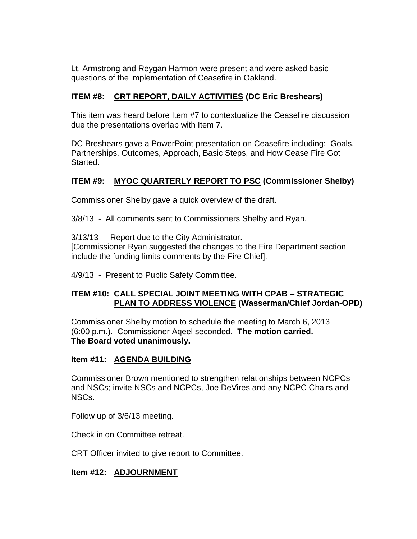Lt. Armstrong and Reygan Harmon were present and were asked basic questions of the implementation of Ceasefire in Oakland.

# **ITEM #8: CRT REPORT, DAILY ACTIVITIES (DC Eric Breshears)**

This item was heard before Item #7 to contextualize the Ceasefire discussion due the presentations overlap with Item 7.

DC Breshears gave a PowerPoint presentation on Ceasefire including: Goals, Partnerships, Outcomes, Approach, Basic Steps, and How Cease Fire Got Started.

# **ITEM #9: MYOC QUARTERLY REPORT TO PSC (Commissioner Shelby)**

Commissioner Shelby gave a quick overview of the draft.

3/8/13 - All comments sent to Commissioners Shelby and Ryan.

3/13/13 - Report due to the City Administrator.

[Commissioner Ryan suggested the changes to the Fire Department section include the funding limits comments by the Fire Chief].

4/9/13 - Present to Public Safety Committee.

#### **ITEM #10: CALL SPECIAL JOINT MEETING WITH CPAB – STRATEGIC PLAN TO ADDRESS VIOLENCE (Wasserman/Chief Jordan-OPD)**

Commissioner Shelby motion to schedule the meeting to March 6, 2013 (6:00 p.m.). Commissioner Aqeel seconded. **The motion carried. The Board voted unanimously.**

#### **Item #11: AGENDA BUILDING**

Commissioner Brown mentioned to strengthen relationships between NCPCs and NSCs; invite NSCs and NCPCs, Joe DeVires and any NCPC Chairs and NSCs.

Follow up of 3/6/13 meeting.

Check in on Committee retreat.

CRT Officer invited to give report to Committee.

# **Item #12: ADJOURNMENT**